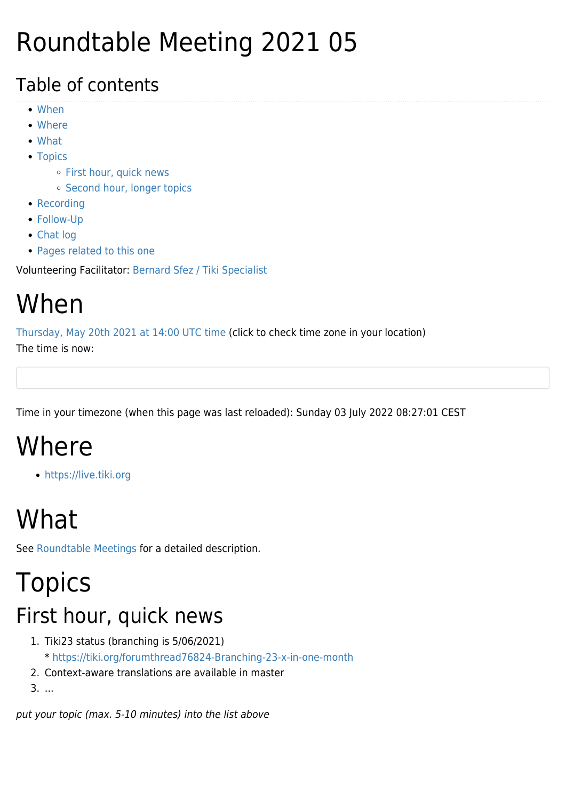### Roundtable Meeting 2021 05

#### Table of contents

- [When](#page--1-0)
- [Where](#page--1-0)
- [What](#page--1-0)
- [Topics](#page--1-0)
	- o [First hour, quick news](#page--1-0)
	- o [Second hour, longer topics](#page--1-0)
- [Recording](#page--1-0)
- [Follow-Up](#page--1-0)
- [Chat log](#page--1-0)
- [Pages related to this one](#page--1-0)

Volunteering Facilitator: [Bernard Sfez / Tiki Specialist](https://tiki.org/user1974)

### When

[Thursday, May 20th 2021 at 14:00 UTC time](https://www.timeanddate.com/worldclock/fixedtime.html?year=2021&month=05&day=20&hour=14&min=0&sec=0) (click to check time zone in your location)

The time is now:

Time in your timezone (when this page was last reloaded): Sunday 03 July 2022 08:27:01 CEST

## Where

<https://live.tiki.org>

## What

See [Roundtable Meetings](https://tiki.org/Roundtable-Meetings) for a detailed description.

### Topics First hour, quick news

- 1. Tiki23 status (branching is 5/06/2021) \*<https://tiki.org/forumthread76824-Branching-23-x-in-one-month>
- 2. Context-aware translations are available in master
- 3. ...

put your topic (max. 5-10 minutes) into the list above